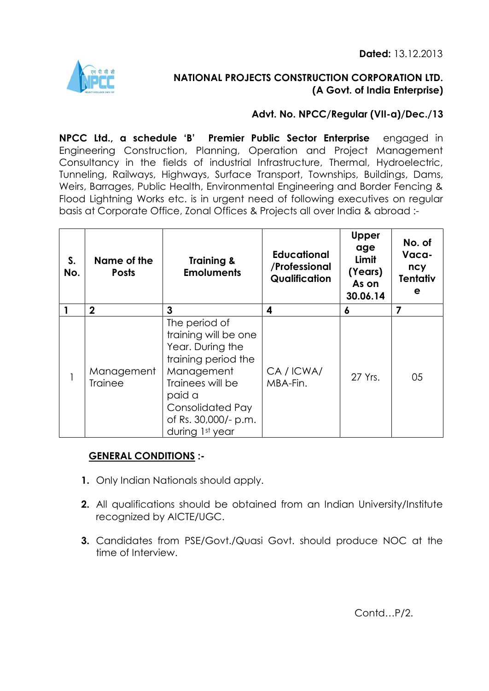**Dated:** 13.12.2013



# **NATIONAL PROJECTS CONSTRUCTION CORPORATION LTD. (A Govt. of India Enterprise)**

# **Advt. No. NPCC/Regular (VII-a)/Dec./13**

**NPCC Ltd., a schedule 'B' Premier Public Sector Enterprise** engaged in Engineering Construction, Planning, Operation and Project Management Consultancy in the fields of industrial Infrastructure, Thermal, Hydroelectric, Tunneling, Railways, Highways, Surface Transport, Townships, Buildings, Dams, Weirs, Barrages, Public Health, Environmental Engineering and Border Fencing & Flood Lightning Works etc. is in urgent need of following executives on regular basis at Corporate Office, Zonal Offices & Projects all over India & abroad :-

| S.<br>No. | Name of the<br><b>Posts</b>  | <b>Training &amp;</b><br><b>Emoluments</b>                                                                                                                                                         | <b>Educational</b><br>/Professional<br>Qualification | <b>Upper</b><br>age<br>Limit<br>(Years)<br>As on<br>30.06.14 | No. of<br>Vaca-<br>ncy<br><b>Tentativ</b><br>е |
|-----------|------------------------------|----------------------------------------------------------------------------------------------------------------------------------------------------------------------------------------------------|------------------------------------------------------|--------------------------------------------------------------|------------------------------------------------|
|           | $\mathbf 2$                  | 3                                                                                                                                                                                                  | 4                                                    | 6                                                            | 7                                              |
|           | Management<br><b>Trainee</b> | The period of<br>training will be one<br>Year. During the<br>training period the<br>Management<br>Trainees will be<br>paid a<br><b>Consolidated Pay</b><br>of Rs. 30,000/- p.m.<br>during 1st year | CA/ICWA/<br>MBA-Fin.                                 | 27 Yrs.                                                      | 05                                             |

# **GENERAL CONDITIONS :-**

- **1.** Only Indian Nationals should apply.
- **2.** All qualifications should be obtained from an Indian University/Institute recognized by AICTE/UGC.
- **3.** Candidates from PSE/Govt./Quasi Govt. should produce NOC at the time of Interview.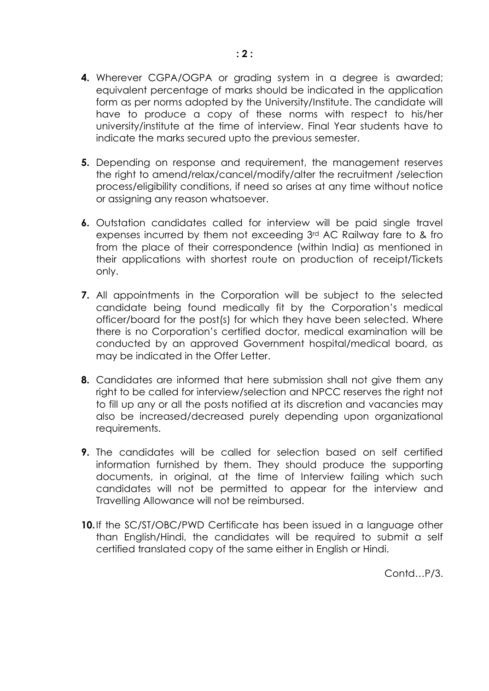- **4.** Wherever CGPA/OGPA or grading system in a degree is awarded; equivalent percentage of marks should be indicated in the application form as per norms adopted by the University/Institute. The candidate will have to produce a copy of these norms with respect to his/her university/institute at the time of interview. Final Year students have to indicate the marks secured upto the previous semester.
- **5.** Depending on response and requirement, the management reserves the right to amend/relax/cancel/modify/alter the recruitment /selection process/eligibility conditions, if need so arises at any time without notice or assigning any reason whatsoever.
- **6.** Outstation candidates called for interview will be paid single travel expenses incurred by them not exceeding 3rd AC Railway fare to & fro from the place of their correspondence (within India) as mentioned in their applications with shortest route on production of receipt/Tickets only.
- **7.** All appointments in the Corporation will be subject to the selected candidate being found medically fit by the Corporation's medical officer/board for the post(s) for which they have been selected. Where there is no Corporation's certified doctor, medical examination will be conducted by an approved Government hospital/medical board, as may be indicated in the Offer Letter.
- **8.** Candidates are informed that here submission shall not give them any right to be called for interview/selection and NPCC reserves the right not to fill up any or all the posts notified at its discretion and vacancies may also be increased/decreased purely depending upon organizational requirements.
- **9.** The candidates will be called for selection based on self certified information furnished by them. They should produce the supporting documents, in original, at the time of Interview failing which such candidates will not be permitted to appear for the interview and Travelling Allowance will not be reimbursed.
- **10.**If the SC/ST/OBC/PWD Certificate has been issued in a language other than English/Hindi, the candidates will be required to submit a self certified translated copy of the same either in English or Hindi.

Contd…P/3.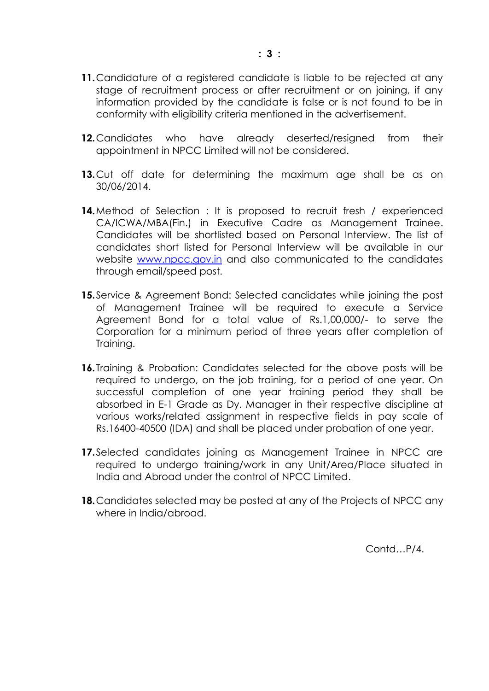- **11.**Candidature of a registered candidate is liable to be rejected at any stage of recruitment process or after recruitment or on joining, if any information provided by the candidate is false or is not found to be in conformity with eligibility criteria mentioned in the advertisement.
- **12.**Candidates who have already deserted/resigned from their appointment in NPCC Limited will not be considered.
- **13.**Cut off date for determining the maximum age shall be as on 30/06/2014.
- **14.**Method of Selection : It is proposed to recruit fresh / experienced CA/ICWA/MBA(Fin.) in Executive Cadre as Management Trainee. Candidates will be shortlisted based on Personal Interview. The list of candidates short listed for Personal Interview will be available in our website [www.npcc.gov.in](http://www.npcc.gov.in/) and also communicated to the candidates through email/speed post.
- **15.**Service & Agreement Bond: Selected candidates while joining the post of Management Trainee will be required to execute a Service Agreement Bond for a total value of Rs.1,00,000/- to serve the Corporation for a minimum period of three years after completion of Training.
- **16.**Training & Probation: Candidates selected for the above posts will be required to undergo, on the job training, for a period of one year. On successful completion of one year training period they shall be absorbed in E-1 Grade as Dy. Manager in their respective discipline at various works/related assignment in respective fields in pay scale of Rs.16400-40500 (IDA) and shall be placed under probation of one year.
- **17.**Selected candidates joining as Management Trainee in NPCC are required to undergo training/work in any Unit/Area/Place situated in India and Abroad under the control of NPCC Limited.
- **18.**Candidates selected may be posted at any of the Projects of NPCC any where in India/abroad.

Contd…P/4.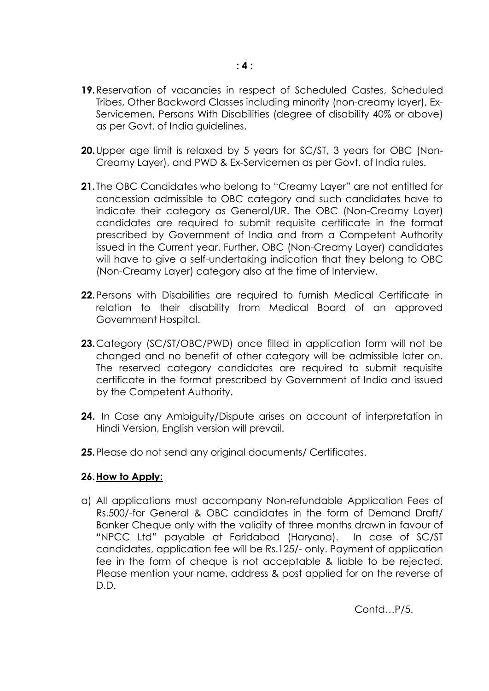- **20.**Upper age limit is relaxed by 5 years for SC/ST, 3 years for OBC (Non-Creamy Layer), and PWD & Ex-Servicemen as per Govt. of India rules.
- **21.**The OBC Candidates who belong to "Creamy Layer" are not entitled for concession admissible to OBC category and such candidates have to indicate their category as General/UR. The OBC (Non-Creamy Layer) candidates are required to submit requisite certificate in the format prescribed by Government of India and from a Competent Authority issued in the Current year. Further, OBC (Non-Creamy Layer) candidates will have to give a self-undertaking indication that they belong to OBC (Non-Creamy Layer) category also at the time of Interview.
- **22.**Persons with Disabilities are required to furnish Medical Certificate in relation to their disability from Medical Board of an approved Government Hospital.
- **23.**Category (SC/ST/OBC/PWD) once filled in application form will not be changed and no benefit of other category will be admissible later on. The reserved category candidates are required to submit requisite certificate in the format prescribed by Government of India and issued by the Competent Authority.
- **24.** In Case any Ambiguity/Dispute arises on account of interpretation in Hindi Version, English version will prevail.
- **25.**Please do not send any original documents/ Certificates.

### **26.How to Apply:**

a) All applications must accompany Non-refundable Application Fees of Rs.500/-for General & OBC candidates in the form of Demand Draft/ Banker Cheque only with the validity of three months drawn in favour of "NPCC Ltd" payable at Faridabad (Haryana). In case of SC/ST candidates, application fee will be Rs.125/- only. Payment of application fee in the form of cheque is not acceptable & liable to be rejected. Please mention your name, address & post applied for on the reverse of D.D.

Contd…P/5.